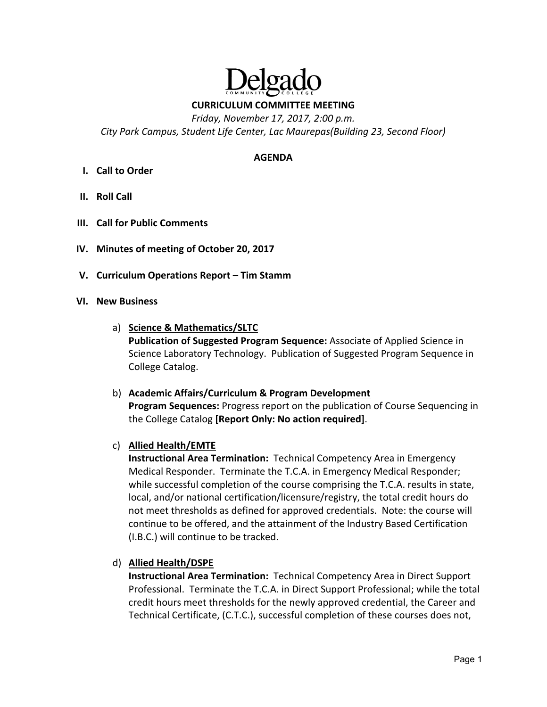

**CURRICULUM COMMITTEE MEETING** 

*Friday, November 17, 2017, 2:00 p.m.* 

*City Park Campus, Student Life Center, Lac Maurepas(Building 23, Second Floor)* 

#### **AGENDA**

- **I. Call to Order**
- **II. Roll Call**
- **III. Call for Public Comments**
- **IV. Minutes of meeting of October 20, 2017**
- **V. Curriculum Operations Report Tim Stamm**
- **VI. New Business**
	- a) **Science & Mathematics/SLTC Publication of Suggested Program Sequence:** Associate of Applied Science in Science Laboratory Technology. Publication of Suggested Program Sequence in College Catalog.
	- b) **Academic Affairs/Curriculum & Program Development Program Sequences:** Progress report on the publication of Course Sequencing in the College Catalog **[Report Only: No action required]**.
	- c) **Allied Health/EMTE**

**Instructional Area Termination:** Technical Competency Area in Emergency Medical Responder. Terminate the T.C.A. in Emergency Medical Responder; while successful completion of the course comprising the T.C.A. results in state, local, and/or national certification/licensure/registry, the total credit hours do not meet thresholds as defined for approved credentials. Note: the course will continue to be offered, and the attainment of the Industry Based Certification (I.B.C.) will continue to be tracked.

d) **Allied Health/DSPE** 

**Instructional Area Termination:** Technical Competency Area in Direct Support Professional. Terminate the T.C.A. in Direct Support Professional; while the total credit hours meet thresholds for the newly approved credential, the Career and Technical Certificate, (C.T.C.), successful completion of these courses does not,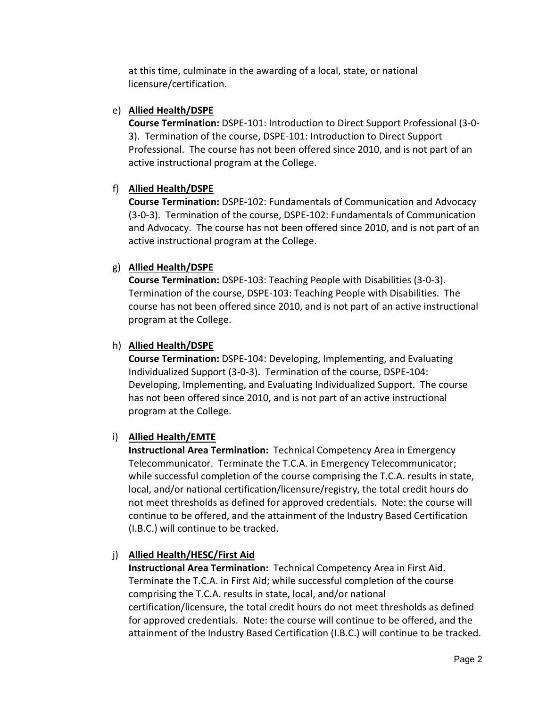at this time, culminate in the awarding of a local, state, or national licensure/certification.

### e) **Allied Health/DSPE**

**Course Termination:** DSPE‐101: Introduction to Direct Support Professional (3‐0‐ 3). Termination of the course, DSPE‐101: Introduction to Direct Support Professional. The course has not been offered since 2010, and is not part of an active instructional program at the College.

## f) **Allied Health/DSPE**

**Course Termination:** DSPE‐102: Fundamentals of Communication and Advocacy (3‐0‐3). Termination of the course, DSPE‐102: Fundamentals of Communication and Advocacy. The course has not been offered since 2010, and is not part of an active instructional program at the College.

## g) **Allied Health/DSPE**

**Course Termination:** DSPE‐103: Teaching People with Disabilities (3‐0‐3). Termination of the course, DSPE‐103: Teaching People with Disabilities. The course has not been offered since 2010, and is not part of an active instructional program at the College.

## h) **Allied Health/DSPE**

**Course Termination:** DSPE‐104: Developing, Implementing, and Evaluating Individualized Support (3‐0‐3). Termination of the course, DSPE‐104: Developing, Implementing, and Evaluating Individualized Support. The course has not been offered since 2010, and is not part of an active instructional program at the College.

## i) **Allied Health/EMTE**

**Instructional Area Termination:** Technical Competency Area in Emergency Telecommunicator. Terminate the T.C.A. in Emergency Telecommunicator; while successful completion of the course comprising the T.C.A. results in state, local, and/or national certification/licensure/registry, the total credit hours do not meet thresholds as defined for approved credentials. Note: the course will continue to be offered, and the attainment of the Industry Based Certification (I.B.C.) will continue to be tracked.

## j) **Allied Health/HESC/First Aid**

**Instructional Area Termination:** Technical Competency Area in First Aid. Terminate the T.C.A. in First Aid; while successful completion of the course comprising the T.C.A. results in state, local, and/or national certification/licensure, the total credit hours do not meet thresholds as defined for approved credentials. Note: the course will continue to be offered, and the attainment of the Industry Based Certification (I.B.C.) will continue to be tracked.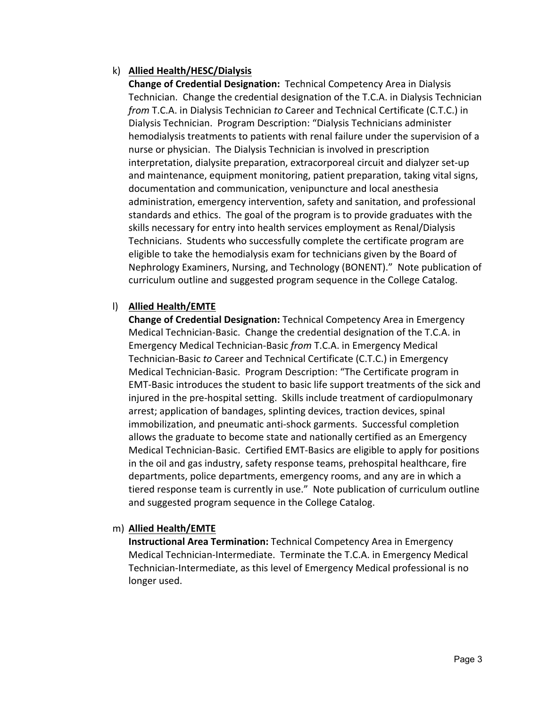## k) **Allied Health/HESC/Dialysis**

**Change of Credential Designation:** Technical Competency Area in Dialysis Technician. Change the credential designation of the T.C.A. in Dialysis Technician *from* T.C.A. in Dialysis Technician *to* Career and Technical Certificate (C.T.C.) in Dialysis Technician. Program Description: "Dialysis Technicians administer hemodialysis treatments to patients with renal failure under the supervision of a nurse or physician. The Dialysis Technician is involved in prescription interpretation, dialysite preparation, extracorporeal circuit and dialyzer set‐up and maintenance, equipment monitoring, patient preparation, taking vital signs, documentation and communication, venipuncture and local anesthesia administration, emergency intervention, safety and sanitation, and professional standards and ethics. The goal of the program is to provide graduates with the skills necessary for entry into health services employment as Renal/Dialysis Technicians. Students who successfully complete the certificate program are eligible to take the hemodialysis exam for technicians given by the Board of Nephrology Examiners, Nursing, and Technology (BONENT)." Note publication of curriculum outline and suggested program sequence in the College Catalog.

## l) **Allied Health/EMTE**

**Change of Credential Designation:** Technical Competency Area in Emergency Medical Technician‐Basic. Change the credential designation of the T.C.A. in Emergency Medical Technician‐Basic *from* T.C.A. in Emergency Medical Technician‐Basic *to* Career and Technical Certificate (C.T.C.) in Emergency Medical Technician‐Basic. Program Description: "The Certificate program in EMT‐Basic introduces the student to basic life support treatments of the sick and injured in the pre‐hospital setting. Skills include treatment of cardiopulmonary arrest; application of bandages, splinting devices, traction devices, spinal immobilization, and pneumatic anti‐shock garments. Successful completion allows the graduate to become state and nationally certified as an Emergency Medical Technician‐Basic. Certified EMT‐Basics are eligible to apply for positions in the oil and gas industry, safety response teams, prehospital healthcare, fire departments, police departments, emergency rooms, and any are in which a tiered response team is currently in use." Note publication of curriculum outline and suggested program sequence in the College Catalog.

## m) **Allied Health/EMTE**

**Instructional Area Termination:** Technical Competency Area in Emergency Medical Technician‐Intermediate. Terminate the T.C.A. in Emergency Medical Technician‐Intermediate, as this level of Emergency Medical professional is no longer used.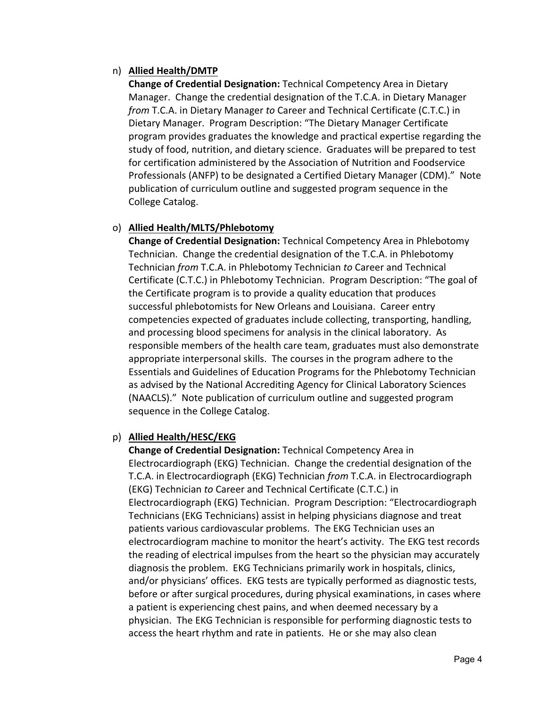## n) **Allied Health/DMTP**

**Change of Credential Designation:** Technical Competency Area in Dietary Manager. Change the credential designation of the T.C.A. in Dietary Manager *from* T.C.A. in Dietary Manager *to* Career and Technical Certificate (C.T.C.) in Dietary Manager. Program Description: "The Dietary Manager Certificate program provides graduates the knowledge and practical expertise regarding the study of food, nutrition, and dietary science. Graduates will be prepared to test for certification administered by the Association of Nutrition and Foodservice Professionals (ANFP) to be designated a Certified Dietary Manager (CDM)." Note publication of curriculum outline and suggested program sequence in the College Catalog.

## o) **Allied Health/MLTS/Phlebotomy**

**Change of Credential Designation:** Technical Competency Area in Phlebotomy Technician. Change the credential designation of the T.C.A. in Phlebotomy Technician *from* T.C.A. in Phlebotomy Technician *to* Career and Technical Certificate (C.T.C.) in Phlebotomy Technician. Program Description: "The goal of the Certificate program is to provide a quality education that produces successful phlebotomists for New Orleans and Louisiana. Career entry competencies expected of graduates include collecting, transporting, handling, and processing blood specimens for analysis in the clinical laboratory. As responsible members of the health care team, graduates must also demonstrate appropriate interpersonal skills. The courses in the program adhere to the Essentials and Guidelines of Education Programs for the Phlebotomy Technician as advised by the National Accrediting Agency for Clinical Laboratory Sciences (NAACLS)." Note publication of curriculum outline and suggested program sequence in the College Catalog.

### p) **Allied Health/HESC/EKG**

**Change of Credential Designation:** Technical Competency Area in Electrocardiograph (EKG) Technician. Change the credential designation of the T.C.A. in Electrocardiograph (EKG) Technician *from* T.C.A. in Electrocardiograph (EKG) Technician *to* Career and Technical Certificate (C.T.C.) in Electrocardiograph (EKG) Technician. Program Description: "Electrocardiograph Technicians (EKG Technicians) assist in helping physicians diagnose and treat patients various cardiovascular problems. The EKG Technician uses an electrocardiogram machine to monitor the heart's activity. The EKG test records the reading of electrical impulses from the heart so the physician may accurately diagnosis the problem. EKG Technicians primarily work in hospitals, clinics, and/or physicians' offices. EKG tests are typically performed as diagnostic tests, before or after surgical procedures, during physical examinations, in cases where a patient is experiencing chest pains, and when deemed necessary by a physician. The EKG Technician is responsible for performing diagnostic tests to access the heart rhythm and rate in patients. He or she may also clean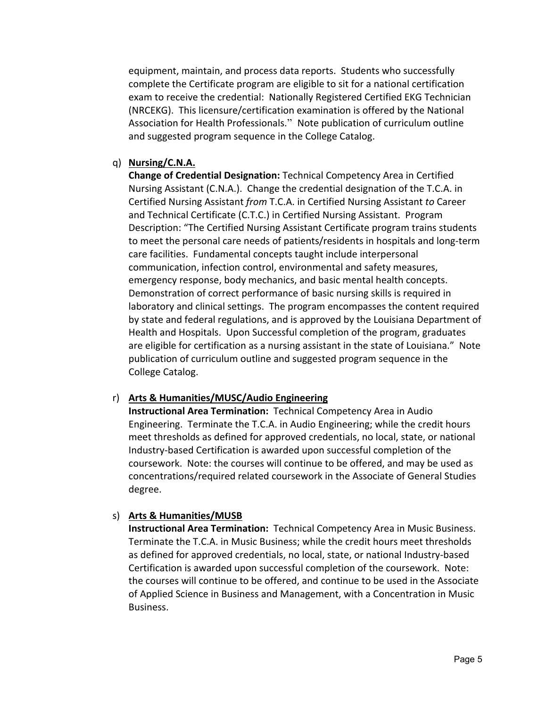equipment, maintain, and process data reports. Students who successfully complete the Certificate program are eligible to sit for a national certification exam to receive the credential: Nationally Registered Certified EKG Technician (NRCEKG). This licensure/certification examination is offered by the National Association for Health Professionals." Note publication of curriculum outline and suggested program sequence in the College Catalog.

### q) **Nursing/C.N.A.**

**Change of Credential Designation:** Technical Competency Area in Certified Nursing Assistant (C.N.A.). Change the credential designation of the T.C.A. in Certified Nursing Assistant *from* T.C.A. in Certified Nursing Assistant *to* Career and Technical Certificate (C.T.C.) in Certified Nursing Assistant. Program Description: "The Certified Nursing Assistant Certificate program trains students to meet the personal care needs of patients/residents in hospitals and long-term care facilities. Fundamental concepts taught include interpersonal communication, infection control, environmental and safety measures, emergency response, body mechanics, and basic mental health concepts. Demonstration of correct performance of basic nursing skills is required in laboratory and clinical settings. The program encompasses the content required by state and federal regulations, and is approved by the Louisiana Department of Health and Hospitals. Upon Successful completion of the program, graduates are eligible for certification as a nursing assistant in the state of Louisiana." Note publication of curriculum outline and suggested program sequence in the College Catalog.

### r) **Arts & Humanities/MUSC/Audio Engineering**

**Instructional Area Termination:** Technical Competency Area in Audio Engineering. Terminate the T.C.A. in Audio Engineering; while the credit hours meet thresholds as defined for approved credentials, no local, state, or national Industry‐based Certification is awarded upon successful completion of the coursework. Note: the courses will continue to be offered, and may be used as concentrations/required related coursework in the Associate of General Studies degree.

### s) **Arts & Humanities/MUSB**

**Instructional Area Termination:** Technical Competency Area in Music Business. Terminate the T.C.A. in Music Business; while the credit hours meet thresholds as defined for approved credentials, no local, state, or national Industry‐based Certification is awarded upon successful completion of the coursework. Note: the courses will continue to be offered, and continue to be used in the Associate of Applied Science in Business and Management, with a Concentration in Music Business.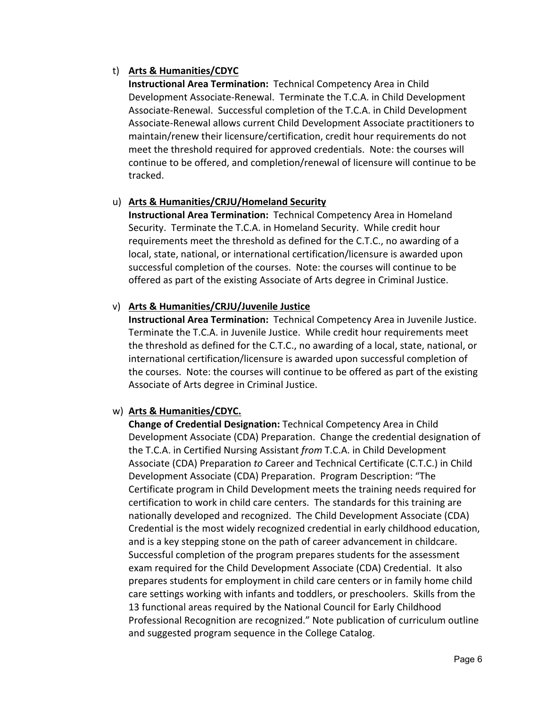## t) **Arts & Humanities/CDYC**

**Instructional Area Termination:** Technical Competency Area in Child Development Associate‐Renewal. Terminate the T.C.A. in Child Development Associate‐Renewal. Successful completion of the T.C.A. in Child Development Associate‐Renewal allows current Child Development Associate practitioners to maintain/renew their licensure/certification, credit hour requirements do not meet the threshold required for approved credentials. Note: the courses will continue to be offered, and completion/renewal of licensure will continue to be tracked.

# u) **Arts & Humanities/CRJU/Homeland Security**

**Instructional Area Termination:** Technical Competency Area in Homeland Security. Terminate the T.C.A. in Homeland Security. While credit hour requirements meet the threshold as defined for the C.T.C., no awarding of a local, state, national, or international certification/licensure is awarded upon successful completion of the courses. Note: the courses will continue to be offered as part of the existing Associate of Arts degree in Criminal Justice.

# v) **Arts & Humanities/CRJU/Juvenile Justice**

**Instructional Area Termination:** Technical Competency Area in Juvenile Justice. Terminate the T.C.A. in Juvenile Justice. While credit hour requirements meet the threshold as defined for the C.T.C., no awarding of a local, state, national, or international certification/licensure is awarded upon successful completion of the courses. Note: the courses will continue to be offered as part of the existing Associate of Arts degree in Criminal Justice.

## w) **Arts & Humanities/CDYC.**

**Change of Credential Designation:** Technical Competency Area in Child Development Associate (CDA) Preparation. Change the credential designation of the T.C.A. in Certified Nursing Assistant *from* T.C.A. in Child Development Associate (CDA) Preparation *to* Career and Technical Certificate (C.T.C.) in Child Development Associate (CDA) Preparation. Program Description: "The Certificate program in Child Development meets the training needs required for certification to work in child care centers. The standards for this training are nationally developed and recognized. The Child Development Associate (CDA) Credential is the most widely recognized credential in early childhood education, and is a key stepping stone on the path of career advancement in childcare. Successful completion of the program prepares students for the assessment exam required for the Child Development Associate (CDA) Credential. It also prepares students for employment in child care centers or in family home child care settings working with infants and toddlers, or preschoolers. Skills from the 13 functional areas required by the National Council for Early Childhood Professional Recognition are recognized." Note publication of curriculum outline and suggested program sequence in the College Catalog.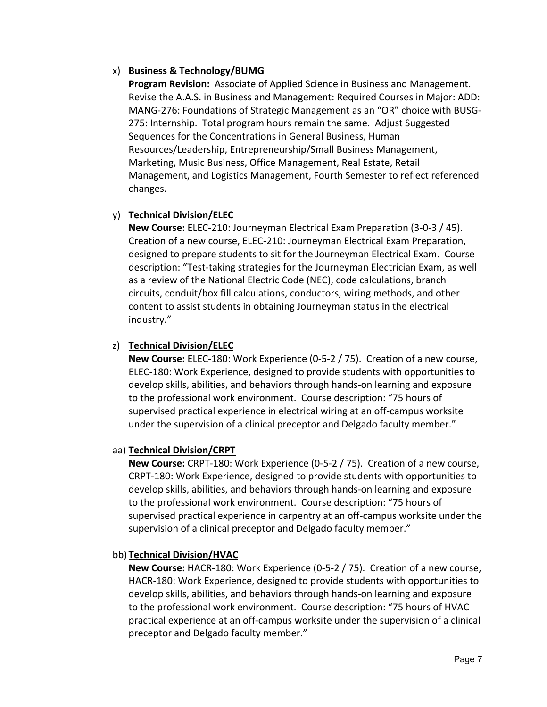## x) **Business & Technology/BUMG**

**Program Revision:**  Associate of Applied Science in Business and Management. Revise the A.A.S. in Business and Management: Required Courses in Major: ADD: MANG‐276: Foundations of Strategic Management as an "OR" choice with BUSG‐ 275: Internship. Total program hours remain the same. Adjust Suggested Sequences for the Concentrations in General Business, Human Resources/Leadership, Entrepreneurship/Small Business Management, Marketing, Music Business, Office Management, Real Estate, Retail Management, and Logistics Management, Fourth Semester to reflect referenced changes.

## y) **Technical Division/ELEC**

**New Course:** ELEC‐210: Journeyman Electrical Exam Preparation (3‐0‐3 / 45). Creation of a new course, ELEC‐210: Journeyman Electrical Exam Preparation, designed to prepare students to sit for the Journeyman Electrical Exam. Course description: "Test‐taking strategies for the Journeyman Electrician Exam, as well as a review of the National Electric Code (NEC), code calculations, branch circuits, conduit/box fill calculations, conductors, wiring methods, and other content to assist students in obtaining Journeyman status in the electrical industry."

## z) **Technical Division/ELEC**

**New Course:** ELEC‐180: Work Experience (0‐5‐2 / 75). Creation of a new course, ELEC‐180: Work Experience, designed to provide students with opportunities to develop skills, abilities, and behaviors through hands‐on learning and exposure to the professional work environment. Course description: "75 hours of supervised practical experience in electrical wiring at an off‐campus worksite under the supervision of a clinical preceptor and Delgado faculty member."

### aa) **Technical Division/CRPT**

**New Course:** CRPT‐180: Work Experience (0‐5‐2 / 75). Creation of a new course, CRPT‐180: Work Experience, designed to provide students with opportunities to develop skills, abilities, and behaviors through hands‐on learning and exposure to the professional work environment. Course description: "75 hours of supervised practical experience in carpentry at an off‐campus worksite under the supervision of a clinical preceptor and Delgado faculty member."

### bb) **Technical Division/HVAC**

**New Course:** HACR‐180: Work Experience (0‐5‐2 / 75). Creation of a new course, HACR‐180: Work Experience, designed to provide students with opportunities to develop skills, abilities, and behaviors through hands‐on learning and exposure to the professional work environment. Course description: "75 hours of HVAC practical experience at an off‐campus worksite under the supervision of a clinical preceptor and Delgado faculty member."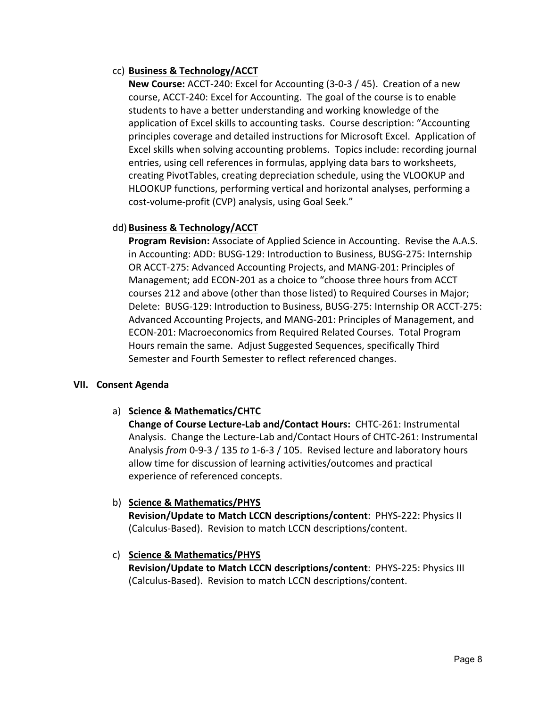## cc) **Business & Technology/ACCT**

**New Course:** ACCT‐240: Excel for Accounting (3‐0‐3 / 45). Creation of a new course, ACCT‐240: Excel for Accounting. The goal of the course is to enable students to have a better understanding and working knowledge of the application of Excel skills to accounting tasks. Course description: "Accounting principles coverage and detailed instructions for Microsoft Excel. Application of Excel skills when solving accounting problems. Topics include: recording journal entries, using cell references in formulas, applying data bars to worksheets, creating PivotTables, creating depreciation schedule, using the VLOOKUP and HLOOKUP functions, performing vertical and horizontal analyses, performing a cost‐volume‐profit (CVP) analysis, using Goal Seek."

## dd) **Business & Technology/ACCT**

**Program Revision:** Associate of Applied Science in Accounting. Revise the A.A.S. in Accounting: ADD: BUSG‐129: Introduction to Business, BUSG‐275: Internship OR ACCT‐275: Advanced Accounting Projects, and MANG‐201: Principles of Management; add ECON‐201 as a choice to "choose three hours from ACCT courses 212 and above (other than those listed) to Required Courses in Major; Delete: BUSG‐129: Introduction to Business, BUSG‐275: Internship OR ACCT‐275: Advanced Accounting Projects, and MANG‐201: Principles of Management, and ECON‐201: Macroeconomics from Required Related Courses. Total Program Hours remain the same. Adjust Suggested Sequences, specifically Third Semester and Fourth Semester to reflect referenced changes.

### **VII. Consent Agenda**

a) **Science & Mathematics/CHTC** 

**Change of Course Lecture-Lab and/Contact Hours: CHTC-261: Instrumental** Analysis. Change the Lecture‐Lab and/Contact Hours of CHTC‐261: Instrumental Analysis *from* 0‐9‐3 / 135 *to* 1‐6‐3 / 105. Revised lecture and laboratory hours allow time for discussion of learning activities/outcomes and practical experience of referenced concepts.

### b) **Science & Mathematics/PHYS**

**Revision/Update to Match LCCN descriptions/content**: PHYS‐222: Physics II (Calculus‐Based). Revision to match LCCN descriptions/content.

## c) **Science & Mathematics/PHYS**

**Revision/Update to Match LCCN descriptions/content**: PHYS‐225: Physics III (Calculus‐Based). Revision to match LCCN descriptions/content.